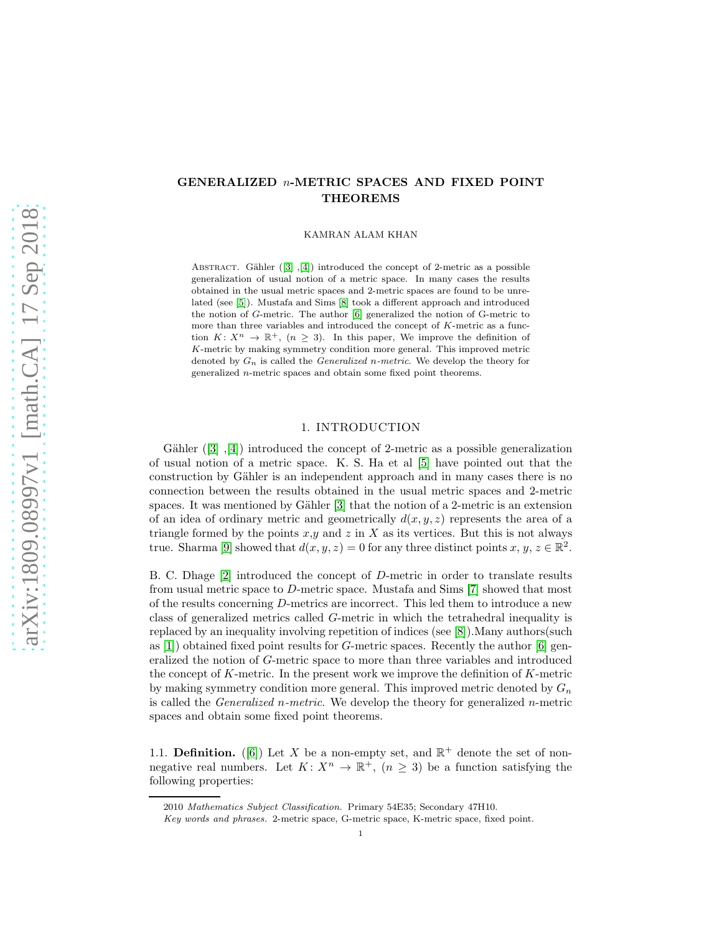# GENERALIZED n-METRIC SPACES AND FIXED POINT THEOREMS

KAMRAN ALAM KHAN

ABSTRACT. Gähler  $([3], [4])$  $([3], [4])$  $([3], [4])$  $([3], [4])$  $([3], [4])$  introduced the concept of 2-metric as a possible generalization of usual notion of a metric space. In many cases the results obtained in the usual metric spaces and 2-metric spaces are found to be unrelated (see [\[5\]](#page-7-2)). Mustafa and Sims [\[8\]](#page-7-3) took a different approach and introduced the notion of G-metric. The author [\[6\]](#page-7-4) generalized the notion of G-metric to more than three variables and introduced the concept of K-metric as a function  $K: X^n \to \mathbb{R}^+$ ,  $(n \geq 3)$ . In this paper, We improve the definition of K-metric by making symmetry condition more general. This improved metric denoted by  $G_n$  is called the *Generalized n-metric*. We develop the theory for generalized n-metric spaces and obtain some fixed point theorems.

# 1. INTRODUCTION

Gähler $([3], [4])$  $([3], [4])$  $([3], [4])$  $([3], [4])$  $([3], [4])$  introduced the concept of 2-metric as a possible generalization of usual notion of a metric space. K. S. Ha et al [\[5\]](#page-7-2) have pointed out that the construction by Gähler is an independent approach and in many cases there is no connection between the results obtained in the usual metric spaces and 2-metric spaces. It was mentioned by Gähler  $[3]$  that the notion of a 2-metric is an extension of an idea of ordinary metric and geometrically  $d(x, y, z)$  represents the area of a triangle formed by the points  $x,y$  and  $z$  in X as its vertices. But this is not always true. Sharma [\[9\]](#page-7-5) showed that  $d(x, y, z) = 0$  for any three distinct points  $x, y, z \in \mathbb{R}^2$ .

B. C. Dhage [\[2\]](#page-7-6) introduced the concept of D-metric in order to translate results from usual metric space to D-metric space. Mustafa and Sims [\[7\]](#page-7-7) showed that most of the results concerning D-metrics are incorrect. This led them to introduce a new class of generalized metrics called G-metric in which the tetrahedral inequality is replaced by an inequality involving repetition of indices (see [\[8\]](#page-7-3)).Many authors(such as  $[1]$ ) obtained fixed point results for G-metric spaces. Recently the author  $[6]$  generalized the notion of G-metric space to more than three variables and introduced the concept of  $K$ -metric. In the present work we improve the definition of  $K$ -metric by making symmetry condition more general. This improved metric denoted by  $G_n$ is called the *Generalized n-metric*. We develop the theory for generalized *n*-metric spaces and obtain some fixed point theorems.

1.1. **Definition.** ([\[6\]](#page-7-4)) Let X be a non-empty set, and  $\mathbb{R}^+$  denote the set of nonnegative real numbers. Let  $K: X^n \to \mathbb{R}^+$ ,  $(n \geq 3)$  be a function satisfying the following properties:

<sup>2010</sup> Mathematics Subject Classification. Primary 54E35; Secondary 47H10.

Key words and phrases. 2-metric space, G-metric space, K-metric space, fixed point.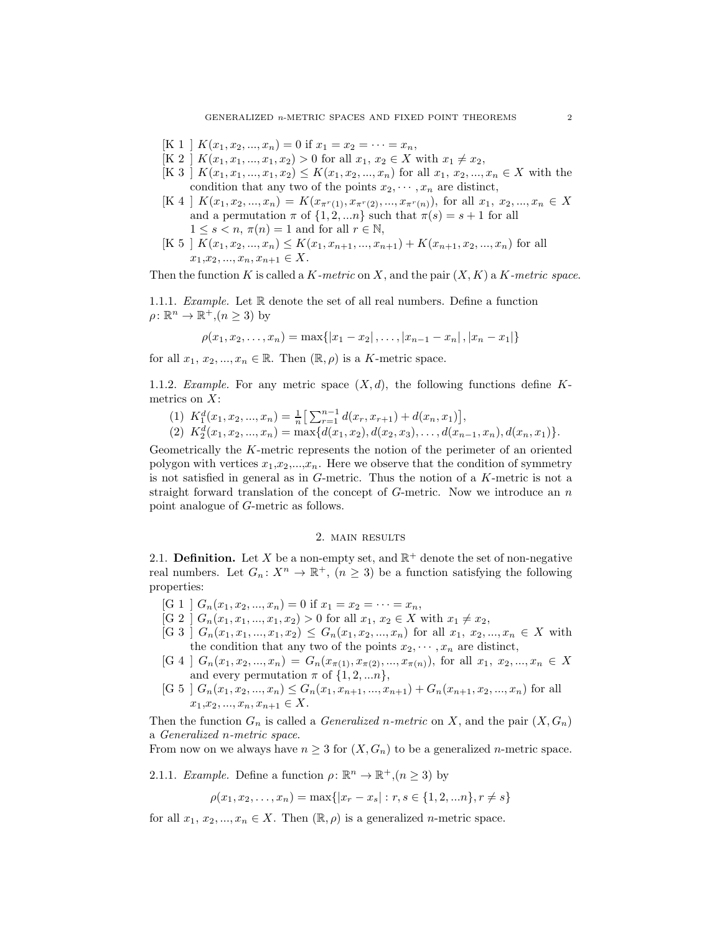- $[K 1 \mid K(x_1, x_2, ..., x_n) = 0 \text{ if } x_1 = x_2 = \cdots = x_n,$
- $[K 2] K(x_1, x_1, ..., x_1, x_2) > 0$  for all  $x_1, x_2 \in X$  with  $x_1 \neq x_2$ ,
- $[K 3] K(x_1, x_1, ..., x_1, x_2) \leq K(x_1, x_2, ..., x_n)$  for all  $x_1, x_2, ..., x_n \in X$  with the condition that any two of the points  $x_2, \dots, x_n$  are distinct,
- $[K 4 \mid K(x_1, x_2, ..., x_n) = K(x_{\pi^{r}(1)}, x_{\pi^{r}(2)}, ..., x_{\pi^{r}(n)})$ , for all  $x_1, x_2, ..., x_n \in X$ and a permutation  $\pi$  of  $\{1, 2, ...n\}$  such that  $\pi(s) = s + 1$  for all  $1 \leq s < n$ ,  $\pi(n) = 1$  and for all  $r \in \mathbb{N}$ ,
- $[K 5 \nvert K(x_1, x_2, ..., x_n) \leq K(x_1, x_{n+1}, ..., x_{n+1}) + K(x_{n+1}, x_2, ..., x_n)$  for all  $x_1, x_2, ..., x_n, x_{n+1} \in X.$

Then the function K is called a K-metric on X, and the pair  $(X, K)$  a K-metric space.

1.1.1. Example. Let R denote the set of all real numbers. Define a function  $\rho \colon \mathbb{R}^n \to \mathbb{R}^+$ ,  $(n \geq 3)$  by

$$
\rho(x_1, x_2, \ldots, x_n) = \max\{|x_1 - x_2|, \ldots, |x_{n-1} - x_n|, |x_n - x_1|\}
$$

for all  $x_1, x_2, ..., x_n \in \mathbb{R}$ . Then  $(\mathbb{R}, \rho)$  is a K-metric space.

1.1.2. Example. For any metric space  $(X, d)$ , the following functions define Kmetrics on X:

(1)  $K_1^d(x_1, x_2, ..., x_n) = \frac{1}{n} \left[ \sum_{r=1}^{n-1} d(x_r, x_{r+1}) + d(x_n, x_1) \right],$ (2)  $K_2^d(x_1, x_2, ..., x_n) = \max\{d(x_1, x_2), d(x_2, x_3), ..., d(x_{n-1}, x_n), d(x_n, x_1)\}.$ 

Geometrically the K-metric represents the notion of the perimeter of an oriented polygon with vertices  $x_1, x_2, ..., x_n$ . Here we observe that the condition of symmetry is not satisfied in general as in  $G$ -metric. Thus the notion of a  $K$ -metric is not a straight forward translation of the concept of  $G$ -metric. Now we introduce an  $n$ point analogue of G-metric as follows.

## 2. main results

2.1. **Definition.** Let X be a non-empty set, and  $\mathbb{R}^+$  denote the set of non-negative real numbers. Let  $G_n: X^n \to \mathbb{R}^+,$   $(n \geq 3)$  be a function satisfying the following properties:

- [G 1 ]  $G_n(x_1, x_2, ..., x_n) = 0$  if  $x_1 = x_2 = ... = x_n$ ,
- $[G 2]$   $G_n(x_1, x_1, ..., x_1, x_2) > 0$  for all  $x_1, x_2 \in X$  with  $x_1 \neq x_2$ ,
- $[G 3]$   $G_n(x_1, x_1, ..., x_1, x_2) \leq G_n(x_1, x_2, ..., x_n)$  for all  $x_1, x_2, ..., x_n \in X$  with the condition that any two of the points  $x_2, \dots, x_n$  are distinct,
- $[G 4]$   $G_n(x_1, x_2, ..., x_n) = G_n(x_{\pi(1)}, x_{\pi(2)}, ..., x_{\pi(n)})$ , for all  $x_1, x_2, ..., x_n \in X$ and every permutation  $\pi$  of  $\{1, 2, \ldots n\}$ ,
- $[G 5 \mid G_n(x_1, x_2, ..., x_n) \le G_n(x_1, x_{n+1}, ..., x_{n+1}) + G_n(x_{n+1}, x_2, ..., x_n)$  for all  $x_1, x_2, ..., x_n, x_{n+1} \in X$ .

Then the function  $G_n$  is called a *Generalized n-metric* on X, and the pair  $(X, G_n)$ a Generalized n-metric space.

From now on we always have  $n \geq 3$  for  $(X, G_n)$  to be a generalized *n*-metric space.

2.1.1. *Example*. Define a function  $\rho \colon \mathbb{R}^n \to \mathbb{R}^+, (n \geq 3)$  by

$$
\rho(x_1, x_2, \dots, x_n) = \max\{|x_r - x_s| : r, s \in \{1, 2, \dots n\}, r \neq s\}
$$

for all  $x_1, x_2, ..., x_n \in X$ . Then  $(\mathbb{R}, \rho)$  is a generalized *n*-metric space.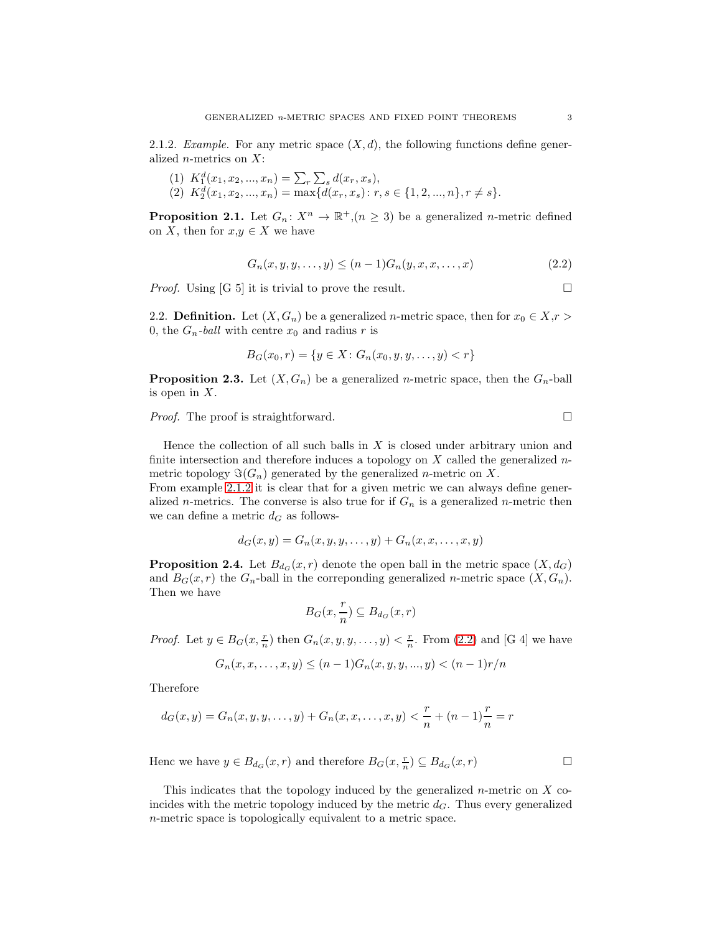<span id="page-2-0"></span>2.1.2. Example. For any metric space  $(X, d)$ , the following functions define generalized *n*-metrics on  $X$ :

- (1)  $K_1^d(x_1, x_2, ..., x_n) = \sum_r \sum_s d(x_r, x_s),$
- (2)  $K_2^d(x_1, x_2, ..., x_n) = \max\{d(x_r, x_s): r, s \in \{1, 2, ..., n\}, r \neq s\}.$

<span id="page-2-2"></span>**Proposition 2.1.** Let  $G_n: X^n \to \mathbb{R}^+, (n \geq 3)$  be a generalized *n*-metric defined on X, then for  $x,y \in X$  we have

<span id="page-2-1"></span>
$$
G_n(x, y, y, \dots, y) \le (n-1)G_n(y, x, x, \dots, x)
$$
\n(2.2)

*Proof.* Using [G 5] it is trivial to prove the result.

2.2. **Definition.** Let  $(X, G_n)$  be a generalized *n*-metric space, then for  $x_0 \in X, r >$ 0, the  $G_n$ -ball with centre  $x_0$  and radius r is

$$
B_G(x_0, r) = \{ y \in X : G_n(x_0, y, y, \dots, y) < r \}
$$

**Proposition 2.3.** Let  $(X, G_n)$  be a generalized *n*-metric space, then the  $G_n$ -ball is open in  $X$ .

*Proof.* The proof is straightforward.  $\square$ 

Hence the collection of all such balls in  $X$  is closed under arbitrary union and finite intersection and therefore induces a topology on  $X$  called the generalized  $n$ metric topology  $\Im(G_n)$  generated by the generalized *n*-metric on X.

From example [2.1.2](#page-2-0) it is clear that for a given metric we can always define generalized *n*-metrics. The converse is also true for if  $G_n$  is a generalized *n*-metric then we can define a metric  $d_G$  as follows-

$$
d_G(x,y) = G_n(x,y,y,\ldots,y) + G_n(x,x,\ldots,x,y)
$$

**Proposition 2.4.** Let  $B_{d_G}(x, r)$  denote the open ball in the metric space  $(X, d_G)$ and  $B_G(x,r)$  the  $G_n$ -ball in the correponding generalized *n*-metric space  $(X, G_n)$ . Then we have

$$
B_G(x, \frac{r}{n}) \subseteq B_{d_G}(x, r)
$$

*Proof.* Let  $y \in B_G(x, \frac{r}{n})$  then  $G_n(x, y, y, \ldots, y) < \frac{r}{n}$ . From [\(2.2\)](#page-2-1) and [G 4] we have

$$
G_n(x, x, \dots, x, y) \le (n-1)G_n(x, y, y, \dots, y) < (n-1)r/n
$$

Therefore

$$
d_G(x, y) = G_n(x, y, y, \dots, y) + G_n(x, x, \dots, x, y) < \frac{r}{n} + (n - 1)\frac{r}{n} = r
$$

Henc we have  $y \in B_{d_G}(x,r)$  and therefore  $B_G(x, \frac{r}{n}) \subseteq B_{d_G}(x,r)$ 

This indicates that the topology induced by the generalized  $n$ -metric on  $X$  coincides with the metric topology induced by the metric  $d_G$ . Thus every generalized n-metric space is topologically equivalent to a metric space.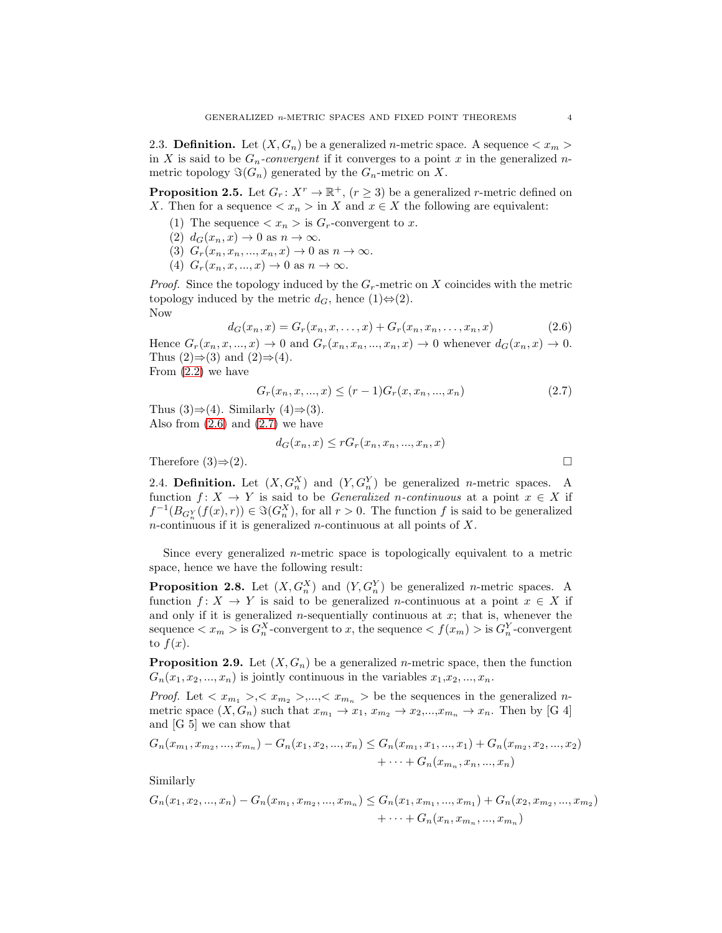2.3. Definition. Let  $(X, G_n)$  be a generalized *n*-metric space. A sequence  $\langle x_m \rangle$ in X is said to be  $G_n$ -convergent if it converges to a point x in the generalized nmetric topology  $\Im(G_n)$  generated by the  $G_n$ -metric on X.

<span id="page-3-2"></span>**Proposition 2.5.** Let  $G_r: X^r \to \mathbb{R}^+$ ,  $(r \geq 3)$  be a generalized *r*-metric defined on X. Then for a sequence  $\langle x_n \rangle$  in X and  $x \in X$  the following are equivalent:

- (1) The sequence  $\langle x_n \rangle$  is  $G_r$ -convergent to x.
- (2)  $d_G(x_n, x) \to 0$  as  $n \to \infty$ .
- (3)  $G_r(x_n, x_n, \ldots, x_n, x) \rightarrow 0$  as  $n \rightarrow \infty$ .
- (4)  $G_r(x_n, x, ..., x) \rightarrow 0$  as  $n \rightarrow \infty$ .

*Proof.* Since the topology induced by the  $G_r$ -metric on X coincides with the metric topology induced by the metric  $d_G$ , hence  $(1) \Leftrightarrow (2)$ . Now

<span id="page-3-0"></span>
$$
d_G(x_n, x) = G_r(x_n, x, \dots, x) + G_r(x_n, x_n, \dots, x_n, x)
$$
\n(2.6)

Hence  $G_r(x_n, x, ..., x) \to 0$  and  $G_r(x_n, x_n, ..., x_n, x) \to 0$  whenever  $d_G(x_n, x) \to 0$ . Thus  $(2) \Rightarrow (3)$  and  $(2) \Rightarrow (4)$ .

From  $(2.2)$  we have

<span id="page-3-1"></span>
$$
G_r(x_n, x, ..., x) \le (r-1)G_r(x, x_n, ..., x_n)
$$
\n(2.7)

Thus  $(3) \Rightarrow (4)$ . Similarly  $(4) \Rightarrow (3)$ . Also from  $(2.6)$  and  $(2.7)$  we have

$$
d_G(x_n, x) \le r G_r(x_n, x_n, ..., x_n, x)
$$
  
Therefore (3)  $\Rightarrow$  (2).

2.4. **Definition.** Let  $(X, G_n^X)$  and  $(Y, G_n^Y)$  be generalized *n*-metric spaces. A function  $f: X \to Y$  is said to be *Generalized n-continuous* at a point  $x \in X$  if  $f^{-1}(B_{G_n^Y}(f(x),r)) \in \Im(G_n^X)$ , for all  $r > 0$ . The function f is said to be generalized  $n$ -continuous if it is generalized  $n$ -continuous at all points of  $X$ .

Since every generalized n-metric space is topologically equivalent to a metric space, hence we have the following result:

<span id="page-3-3"></span>**Proposition 2.8.** Let  $(X, G_n^X)$  and  $(Y, G_n^Y)$  be generalized *n*-metric spaces. A function  $f: X \to Y$  is said to be generalized *n*-continuous at a point  $x \in X$  if and only if it is generalized  $n$ -sequentially continuous at  $x$ ; that is, whenever the sequence  $\langle x_m \rangle$  is  $G_n^X$ -convergent to x, the sequence  $\langle f(x_m) \rangle$  is  $G_n^Y$ -convergent to  $f(x)$ .

**Proposition 2.9.** Let  $(X, G_n)$  be a generalized *n*-metric space, then the function  $G_n(x_1, x_2, \ldots, x_n)$  is jointly continuous in the variables  $x_1, x_2, \ldots, x_n$ .

*Proof.* Let  $\langle x_{m_1} \rangle, \langle x_{m_2} \rangle, \ldots, \langle x_{m_n} \rangle$  be the sequences in the generalized nmetric space  $(X, G_n)$  such that  $x_{m_1} \to x_1, x_{m_2} \to x_2,...,x_{m_n} \to x_n$ . Then by [G 4] and [G 5] we can show that

$$
G_n(x_{m_1}, x_{m_2}, ..., x_{m_n}) - G_n(x_1, x_2, ..., x_n) \le G_n(x_{m_1}, x_1, ..., x_1) + G_n(x_{m_2}, x_2, ..., x_2) + \cdots + G_n(x_{m_n}, x_n, ..., x_n)
$$

Similarly

$$
G_n(x_1, x_2, ..., x_n) - G_n(x_{m_1}, x_{m_2}, ..., x_{m_n}) \le G_n(x_1, x_{m_1}, ..., x_{m_1}) + G_n(x_2, x_{m_2}, ..., x_{m_2}) + \cdots + G_n(x_n, x_{m_n}, ..., x_{m_n})
$$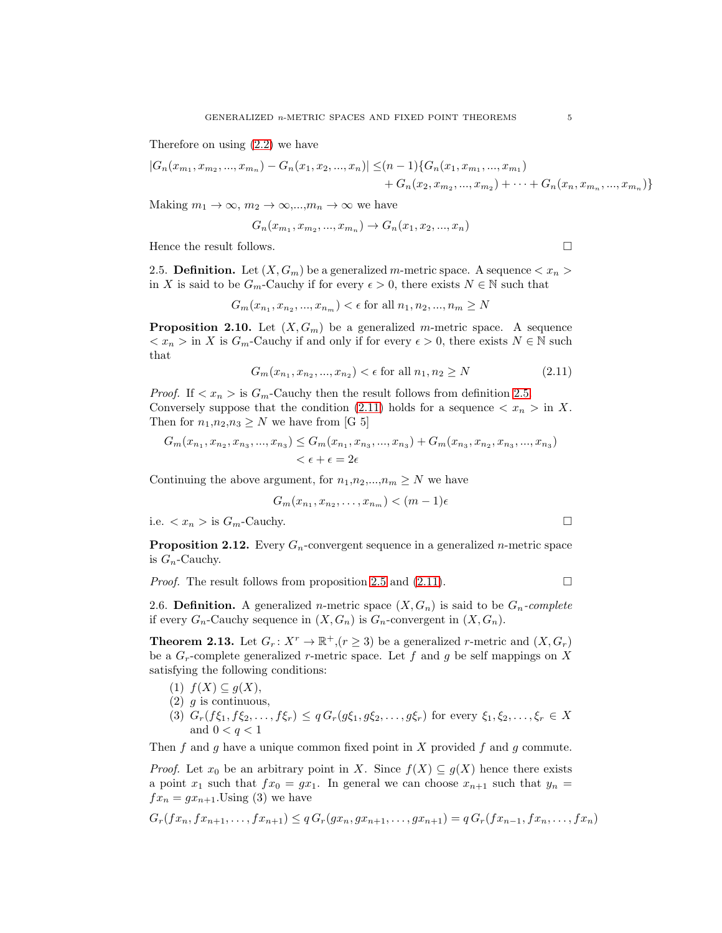Therefore on using [\(2.2\)](#page-2-1) we have

$$
|G_n(x_{m_1}, x_{m_2}, ..., x_{m_n}) - G_n(x_1, x_2, ..., x_n)| \le (n-1) \{ G_n(x_1, x_{m_1}, ..., x_{m_1}) + G_n(x_2, x_{m_2}, ..., x_{m_2}) + \cdots + G_n(x_n, x_{m_n}, ..., x_{m_n}) \}
$$

Making  $m_1 \to \infty$ ,  $m_2 \to \infty$ ,..., $m_n \to \infty$  we have

$$
G_n(x_{m_1}, x_{m_2}, ..., x_{m_n}) \to G_n(x_1, x_2, ..., x_n)
$$

<span id="page-4-0"></span>Hence the result follows.  $\Box$ 

2.5. **Definition.** Let  $(X, G_m)$  be a generalized m-metric space. A sequence  $\langle x_n \rangle$ in X is said to be  $G_m$ -Cauchy if for every  $\epsilon > 0$ , there exists  $N \in \mathbb{N}$  such that

$$
G_m(x_{n_1}, x_{n_2}, ..., x_{n_m}) < \epsilon \text{ for all } n_1, n_2, ..., n_m \ge N
$$

**Proposition 2.10.** Let  $(X, G_m)$  be a generalized m-metric space. A sequence  $\langle x_n \rangle$  in X is  $G_m$ -Cauchy if and only if for every  $\epsilon > 0$ , there exists  $N \in \mathbb{N}$  such that

<span id="page-4-1"></span>
$$
G_m(x_{n_1}, x_{n_2}, ..., x_{n_2}) < \epsilon \text{ for all } n_1, n_2 \ge N \tag{2.11}
$$

*Proof.* If  $\langle x_n \rangle$  is  $G_m$ -Cauchy then the result follows from definition [2.5.](#page-4-0) Conversely suppose that the condition [\(2.11\)](#page-4-1) holds for a sequence  $\langle x_n \rangle$  in X. Then for  $n_1,n_2,n_3 \geq N$  we have from [G 5]

$$
G_m(x_{n_1}, x_{n_2}, x_{n_3}, ..., x_{n_3}) \le G_m(x_{n_1}, x_{n_3}, ..., x_{n_3}) + G_m(x_{n_3}, x_{n_2}, x_{n_3}, ..., x_{n_3})
$$
  

$$
< \epsilon + \epsilon = 2\epsilon
$$

Continuing the above argument, for  $n_1,n_2,...,n_m \geq N$  we have

$$
G_m(x_{n_1}, x_{n_2}, \ldots, x_{n_m}) < (m-1)\epsilon
$$

i.e.  $\langle x_n \rangle$  is  $G_m$ -Cauchy.

**Proposition 2.12.** Every  $G_n$ -convergent sequence in a generalized *n*-metric space is  $G_n$ -Cauchy.

*Proof.* The result follows from proposition [2.5](#page-3-2) and [\(2.11\)](#page-4-1).  $\Box$ 

2.6. **Definition.** A generalized *n*-metric space  $(X, G_n)$  is said to be  $G_n$ -complete if every  $G_n$ -Cauchy sequence in  $(X, G_n)$  is  $G_n$ -convergent in  $(X, G_n)$ .

**Theorem 2.13.** Let  $G_r: X^r \to \mathbb{R}^+, (r \geq 3)$  be a generalized *r*-metric and  $(X, G_r)$ be a  $G_r$ -complete generalized r-metric space. Let f and g be self mappings on X satisfying the following conditions:

- (1)  $f(X) \subseteq g(X)$ ,
- $(2)$  q is continuous,
- (3)  $G_r(f\xi_1, f\xi_2, \ldots, f\xi_r) \leq q G_r(g\xi_1, g\xi_2, \ldots, g\xi_r)$  for every  $\xi_1, \xi_2, \ldots, \xi_r \in X$ and  $0 < q < 1$

Then f and g have a unique common fixed point in X provided f and g commute.

*Proof.* Let  $x_0$  be an arbitrary point in X. Since  $f(X) \subseteq g(X)$  hence there exists a point  $x_1$  such that  $fx_0 = gx_1$ . In general we can choose  $x_{n+1}$  such that  $y_n =$  $fx_n = gx_{n+1}$ . Using (3) we have

$$
G_r(fx_n, fx_{n+1}, \ldots, fx_{n+1}) \leq qG_r(gx_n, gx_{n+1}, \ldots, gx_{n+1}) = qG_r(fx_{n-1}, fx_n, \ldots, fx_n)
$$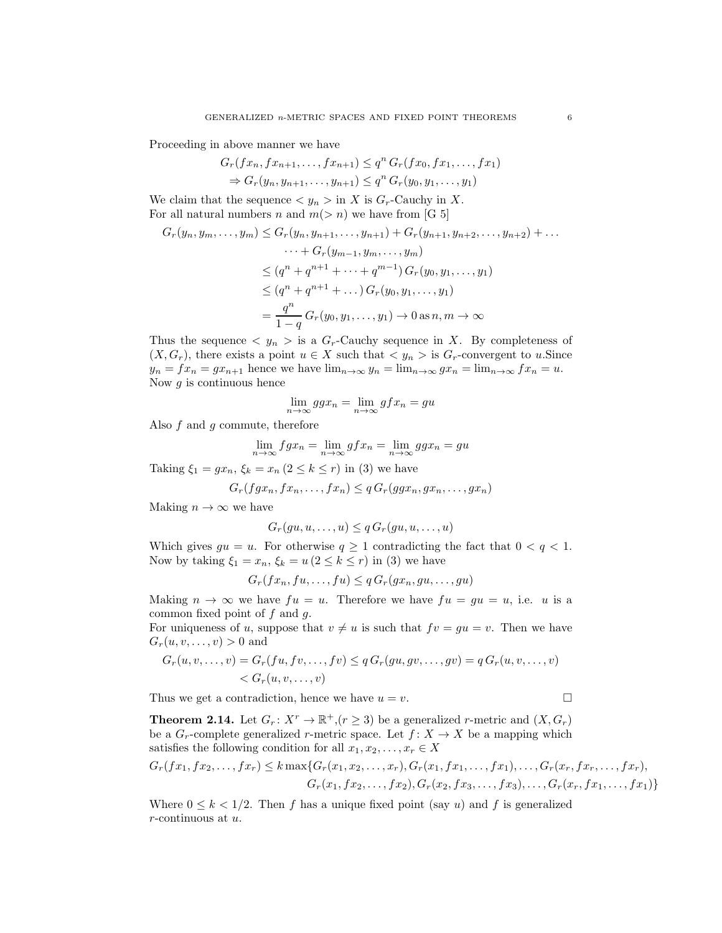Proceeding in above manner we have

$$
G_r(fx_n, fx_{n+1}, \ldots, fx_{n+1}) \le q^n G_r(fx_0, fx_1, \ldots, fx_1)
$$
  
\n
$$
\Rightarrow G_r(y_n, y_{n+1}, \ldots, y_{n+1}) \le q^n G_r(y_0, y_1, \ldots, y_1)
$$

We claim that the sequence  $y_n > \text{in } X$  is  $G_r$ -Cauchy in X. For all natural numbers n and  $m(> n)$  we have from [G 5]

$$
G_r(y_n, y_m, \dots, y_m) \le G_r(y_n, y_{n+1}, \dots, y_{n+1}) + G_r(y_{n+1}, y_{n+2}, \dots, y_{n+2}) + \dots
$$
  

$$
\dots + G_r(y_{m-1}, y_m, \dots, y_m)
$$
  

$$
\le (q^n + q^{n+1} + \dots + q^{m-1}) G_r(y_0, y_1, \dots, y_1)
$$
  

$$
\le (q^n + q^{n+1} + \dots) G_r(y_0, y_1, \dots, y_1)
$$
  

$$
= \frac{q^n}{1-q} G_r(y_0, y_1, \dots, y_1) \to 0 \text{ as } n, m \to \infty
$$

Thus the sequence  $\langle y_n \rangle$  is a  $G_r$ -Cauchy sequence in X. By completeness of  $(X, G_r)$ , there exists a point  $u \in X$  such that  $\langle y_n \rangle$  is  $G_r$ -convergent to u.Since  $y_n = fx_n = gx_{n+1}$  hence we have  $\lim_{n\to\infty} y_n = \lim_{n\to\infty} gx_n = \lim_{n\to\infty} fx_n = u$ . Now  $g$  is continuous hence

$$
\lim_{n \to \infty} g g x_n = \lim_{n \to \infty} g f x_n = g u
$$

Also  $f$  and  $g$  commute, therefore

$$
\lim_{n \to \infty} f g x_n = \lim_{n \to \infty} g f x_n = \lim_{n \to \infty} g g x_n = g u
$$

Taking  $\xi_1 = gx_n$ ,  $\xi_k = x_n (2 \le k \le r)$  in (3) we have

$$
G_r(fgx_n, fx_n, \ldots, fx_n) \leq q \cdot G_r(ggx_n, gx_n, \ldots, gx_n)
$$

Making  $n \to \infty$  we have

$$
G_r(gu, u, \dots, u) \leq q G_r(gu, u, \dots, u)
$$

Which gives  $gu = u$ . For otherwise  $q \ge 1$  contradicting the fact that  $0 < q < 1$ . Now by taking  $\xi_1 = x_n$ ,  $\xi_k = u (2 \le k \le r)$  in (3) we have

$$
G_r(fx_n, fu, \ldots, fu) \leq q \, G_r(gx_n, gu, \ldots, gu)
$$

Making  $n \to \infty$  we have  $fu = u$ . Therefore we have  $fu = gu = u$ , i.e. u is a common fixed point of  $f$  and  $g$ .

For uniqueness of u, suppose that  $v \neq u$  is such that  $fv = gu = v$ . Then we have  $G_r(u, v, \ldots, v) > 0$  and

$$
G_r(u, v, \dots, v) = G_r(fu, fv, \dots, fv) \leq q G_r(gu, gv, \dots, gv) = q G_r(u, v, \dots, v)
$$
  
< 
$$
< G_r(u, v, \dots, v)
$$

Thus we get a contradiction, hence we have  $u = v$ .

**Theorem 2.14.** Let  $G_r: X^r \to \mathbb{R}^+, (r \geq 3)$  be a generalized *r*-metric and  $(X, G_r)$ be a  $G_r$ -complete generalized r-metric space. Let  $f: X \to X$  be a mapping which satisfies the following condition for all  $x_1, x_2, \ldots, x_r \in X$ 

$$
G_r(fx_1, fx_2, \ldots, fx_r) \le k \max\{G_r(x_1, x_2, \ldots, x_r), G_r(x_1, fx_1, \ldots, fx_1), \ldots, G_r(x_r, fx_r, \ldots, fx_r),
$$
  

$$
G_r(x_1, fx_2, \ldots, fx_2), G_r(x_2, fx_3, \ldots, fx_3), \ldots, G_r(x_r, fx_1, \ldots, fx_1)\}
$$

Where  $0 \leq k < 1/2$ . Then f has a unique fixed point (say u) and f is generalized r-continuous at u.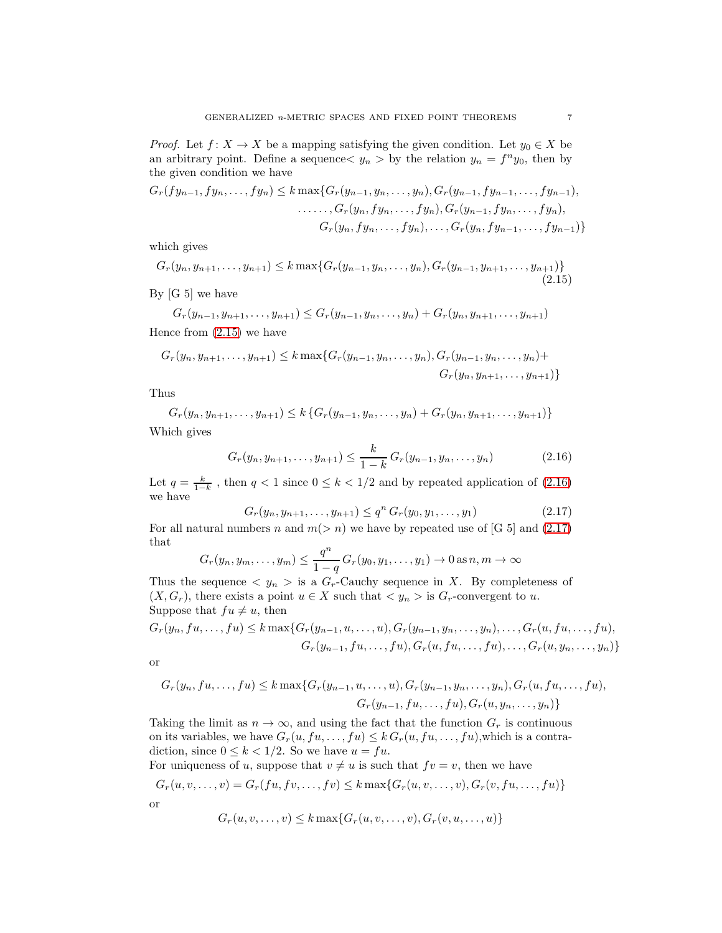*Proof.* Let  $f: X \to X$  be a mapping satisfying the given condition. Let  $y_0 \in X$  be an arbitrary point. Define a sequence  $y_n > 0$  by the relation  $y_n = f^n y_0$ , then by the given condition we have

$$
G_r(fy_{n-1}, fy_n, \ldots, fy_n) \le k \max\{G_r(y_{n-1}, y_n, \ldots, y_n), G_r(y_{n-1}, fy_{n-1}, \ldots, fy_{n-1}),
$$
  
\n
$$
\ldots \ldots, G_r(y_n, fy_n, \ldots, fy_n), G_r(y_{n-1}, fy_n, \ldots, fy_n),
$$
  
\n
$$
G_r(y_n, fy_n, \ldots, fy_n), \ldots, G_r(y_n, fy_{n-1}, \ldots, fy_{n-1})\}
$$

which gives

<span id="page-6-0"></span>
$$
G_r(y_n, y_{n+1}, \dots, y_{n+1}) \le k \max\{G_r(y_{n-1}, y_n, \dots, y_n), G_r(y_{n-1}, y_{n+1}, \dots, y_{n+1})\}
$$
\n(2.15)

By [G 5] we have

 $G_r(y_{n-1}, y_{n+1}, \ldots, y_{n+1}) \leq G_r(y_{n-1}, y_n, \ldots, y_n) + G_r(y_n, y_{n+1}, \ldots, y_{n+1})$ Hence from [\(2.15\)](#page-6-0) we have

$$
G_r(y_n, y_{n+1}, \dots, y_{n+1}) \le k \max\{G_r(y_{n-1}, y_n, \dots, y_n), G_r(y_{n-1}, y_n, \dots, y_n)\} +
$$
  

$$
G_r(y_n, y_{n+1}, \dots, y_{n+1})\}
$$

Thus

$$
G_r(y_n, y_{n+1}, \dots, y_{n+1}) \le k \{ G_r(y_{n-1}, y_n, \dots, y_n) + G_r(y_n, y_{n+1}, \dots, y_{n+1}) \}
$$
  
Which gives

Which gives

<span id="page-6-1"></span>
$$
G_r(y_n, y_{n+1}, \dots, y_{n+1}) \le \frac{k}{1-k} G_r(y_{n-1}, y_n, \dots, y_n)
$$
 (2.16)

Let  $q = \frac{k}{1-k}$ , then  $q < 1$  since  $0 \le k < 1/2$  and by repeated application of  $(2.16)$ we have

<span id="page-6-2"></span>
$$
G_r(y_n, y_{n+1}, \dots, y_{n+1}) \le q^n G_r(y_0, y_1, \dots, y_1)
$$
\n(2.17)

For all natural numbers n and  $m(> n)$  we have by repeated use of [G 5] and [\(2.17\)](#page-6-2) that n

$$
G_r(y_n, y_m, \dots, y_m) \leq \frac{q^n}{1-q} G_r(y_0, y_1, \dots, y_1) \to 0 \text{ as } n, m \to \infty
$$

Thus the sequence  $\langle y_n \rangle$  is a  $G_r$ -Cauchy sequence in X. By completeness of  $(X, G_r)$ , there exists a point  $u \in X$  such that  $\langle y_n \rangle$  is  $G_r$ -convergent to u. Suppose that  $fu \neq u$ , then

$$
G_r(y_n, fu, \ldots, fu) \le k \max\{G_r(y_{n-1}, u, \ldots, u), G_r(y_{n-1}, y_n, \ldots, y_n), \ldots, G_r(u, fu, \ldots, fu),
$$
  

$$
G_r(y_{n-1}, fu, \ldots, fu), G_r(u, fu, \ldots, fu), \ldots, G_r(u, y_n, \ldots, y_n)\}
$$

or

$$
G_r(y_n, fu, \ldots, fu) \le k \max \{ G_r(y_{n-1}, u, \ldots, u), G_r(y_{n-1}, y_n, \ldots, y_n), G_r(u, fu, \ldots, fu),
$$
  

$$
G_r(y_{n-1}, fu, \ldots, fu), G_r(u, y_n, \ldots, y_n) \}
$$

Taking the limit as  $n \to \infty$ , and using the fact that the function  $G_r$  is continuous on its variables, we have  $G_r(u, fu, \ldots, fu) \leq k G_r(u, fu, \ldots, fu)$ , which is a contradiction, since  $0 \leq k < 1/2$ . So we have  $u = fu$ .

For uniqueness of u, suppose that  $v \neq u$  is such that  $f v = v$ , then we have

$$
G_r(u, v, \dots, v) = G_r(fu, fv, \dots, fv) \le k \max\{G_r(u, v, \dots, v), G_r(v, fu, \dots, fu)\}
$$
  
or

$$
G_r(u, v, \dots, v) \le k \max\{G_r(u, v, \dots, v), G_r(v, u, \dots, u)\}
$$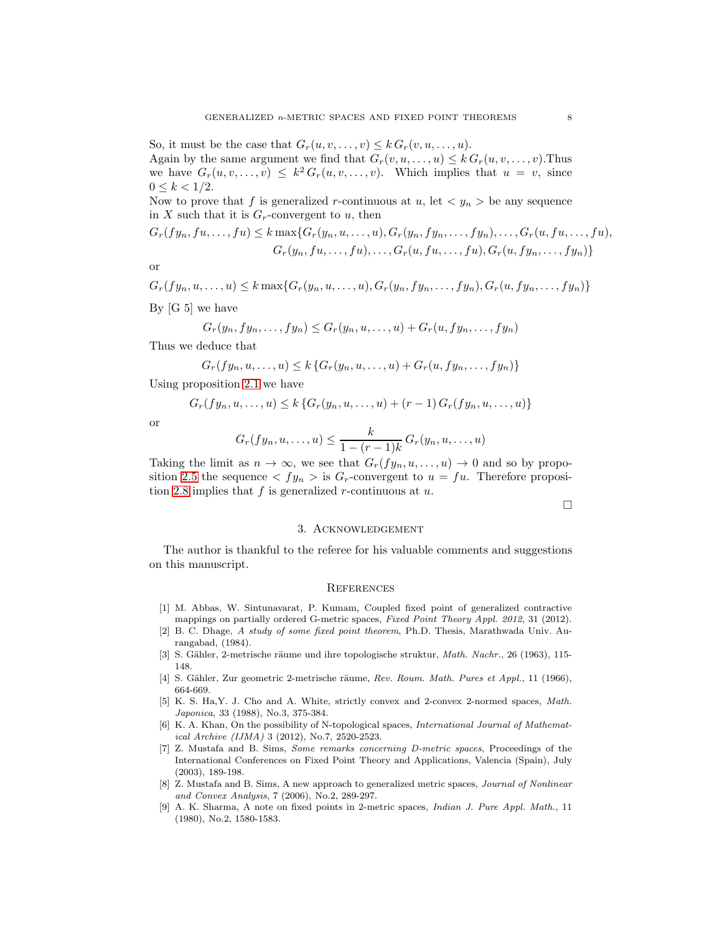So, it must be the case that  $G_r(u, v, \ldots, v) \leq k G_r(v, u, \ldots, u)$ .

Again by the same argument we find that  $G_r(v, u, \ldots, u) \leq k G_r(u, v, \ldots, v)$ . Thus we have  $G_r(u, v, \ldots, v) \leq k^2 G_r(u, v, \ldots, v)$ . Which implies that  $u = v$ , since  $0 \leq k \leq 1/2$ .

Now to prove that f is generalized r-continuous at u, let  $\langle y_n \rangle$  be any sequence in X such that it is  $G_r$ -convergent to u, then

$$
G_r(fy_n, fu, \ldots, fu) \le k \max\{G_r(y_n, u, \ldots, u), G_r(y_n, fy_n, \ldots, fy_n), \ldots, G_r(u, fu, \ldots, fu),
$$
  

$$
G_r(y_n, fu, \ldots, fu), \ldots, G_r(u, fu, \ldots, fu), G_r(u, fy_n, \ldots, fy_n)\}
$$

or

$$
G_r(fy_n, u, \dots, u) \le k \max\{G_r(y_n, u, \dots, u), G_r(y_n, fy_n, \dots, fy_n), G_r(u, fy_n, \dots, fy_n)\}
$$
  
By [G 5] we have

$$
G_r(y_n, fy_n, \ldots, fy_n) \le G_r(y_n, u, \ldots, u) + G_r(u, fy_n, \ldots, fy_n)
$$

Thus we deduce that

$$
G_r(fy_n, u, \ldots, u) \leq k \left\{ G_r(y_n, u, \ldots, u) + G_r(u, fy_n, \ldots, fy_n) \right\}
$$

Using proposition [2.1](#page-2-2) we have

$$
G_r(fy_n, u, \dots, u) \le k \{ G_r(y_n, u, \dots, u) + (r-1) G_r(fy_n, u, \dots, u) \}
$$

or

$$
G_r(fy_n, u, \dots, u) \leq \frac{k}{1 - (r-1)k} G_r(y_n, u, \dots, u)
$$

Taking the limit as  $n \to \infty$ , we see that  $G_r(fy_n, u, \ldots, u) \to 0$  and so by propo-sition [2.5](#page-3-2) the sequence  $\langle f y_n \rangle$  is  $G_r$ -convergent to  $u = fu$ . Therefore proposi-tion [2.8](#page-3-3) implies that  $f$  is generalized  $r$ -continuous at  $u$ .

 $\Box$ 

### 3. Acknowledgement

The author is thankful to the referee for his valuable comments and suggestions on this manuscript.

### **REFERENCES**

- <span id="page-7-8"></span>[1] M. Abbas, W. Sintunavarat, P. Kumam, Coupled fixed point of generalized contractive mappings on partially ordered G-metric spaces, Fixed Point Theory Appl. 2012, 31 (2012).
- <span id="page-7-6"></span>[2] B. C. Dhage, A study of some fixed point theorem, Ph.D. Thesis, Marathwada Univ. Aurangabad, (1984).
- <span id="page-7-0"></span>[3] S. Gähler, 2-metrische räume und ihre topologische struktur, Math. Nachr., 26 (1963), 115-148.
- <span id="page-7-2"></span><span id="page-7-1"></span>[4] S. Gähler, Zur geometric 2-metrische räume, Rev. Roum. Math. Pures et Appl., 11 (1966), 664-669.
- [5] K. S. Ha, Y. J. Cho and A. White, strictly convex and 2-convex 2-normed spaces, Math. Japonica, 33 (1988), No.3, 375-384.
- <span id="page-7-4"></span>[6] K. A. Khan, On the possibility of N-topological spaces, International Journal of Mathematical Archive (IJMA) 3 (2012), No.7, 2520-2523.
- <span id="page-7-7"></span>[7] Z. Mustafa and B. Sims, Some remarks concerning D-metric spaces, Proceedings of the International Conferences on Fixed Point Theory and Applications, Valencia (Spain), July (2003), 189-198.
- <span id="page-7-3"></span>[8] Z. Mustafa and B. Sims, A new approach to generalized metric spaces, Journal of Nonlinear and Convex Analysis, 7 (2006), No.2, 289-297.
- <span id="page-7-5"></span>[9] A. K. Sharma, A note on fixed points in 2-metric spaces, Indian J. Pure Appl. Math., 11 (1980), No.2, 1580-1583.